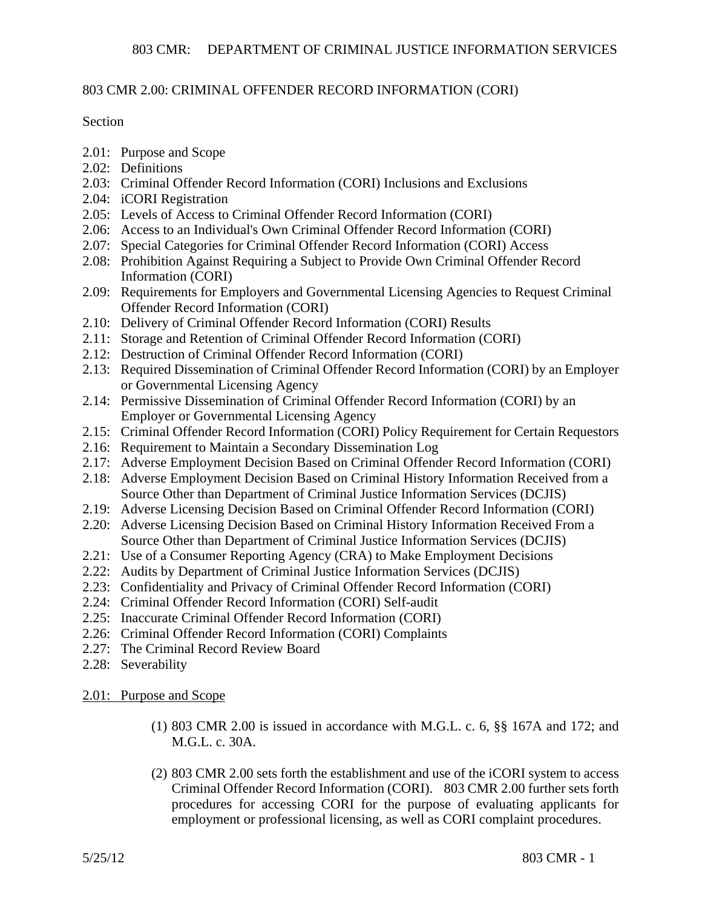### 803 CMR 2.00: CRIMINAL OFFENDER RECORD INFORMATION (CORI)

### Section

- 2.01: Purpose and Scope
- 2.02: Definitions
- 2.03: Criminal Offender Record Information (CORI) Inclusions and Exclusions
- 2.04: iCORI Registration
- 2.05: Levels of Access to Criminal Offender Record Information (CORI)
- 2.06: Access to an Individual's Own Criminal Offender Record Information (CORI)
- 2.07: Special Categories for Criminal Offender Record Information (CORI) Access
- 2.08: Prohibition Against Requiring a Subject to Provide Own Criminal Offender Record Information (CORI)
- 2.09: Requirements for Employers and Governmental Licensing Agencies to Request Criminal Offender Record Information (CORI)
- 2.10: Delivery of Criminal Offender Record Information (CORI) Results
- 2.11: Storage and Retention of Criminal Offender Record Information (CORI)
- 2.12: Destruction of Criminal Offender Record Information (CORI)
- 2.13: Required Dissemination of Criminal Offender Record Information (CORI) by an Employer or Governmental Licensing Agency
- 2.14: Permissive Dissemination of Criminal Offender Record Information (CORI) by an Employer or Governmental Licensing Agency
- 2.15: Criminal Offender Record Information (CORI) Policy Requirement for Certain Requestors
- 2.16: Requirement to Maintain a Secondary Dissemination Log
- 2.17: Adverse Employment Decision Based on Criminal Offender Record Information (CORI)
- 2.18: Adverse Employment Decision Based on Criminal History Information Received from a Source Other than Department of Criminal Justice Information Services (DCJIS)
- 2.19: Adverse Licensing Decision Based on Criminal Offender Record Information (CORI)
- 2.20: Adverse Licensing Decision Based on Criminal History Information Received From a Source Other than Department of Criminal Justice Information Services (DCJIS)
- 2.21: Use of a Consumer Reporting Agency (CRA) to Make Employment Decisions
- 2.22: Audits by Department of Criminal Justice Information Services (DCJIS)
- 2.23: Confidentiality and Privacy of Criminal Offender Record Information (CORI)
- 2.24: Criminal Offender Record Information (CORI) Self-audit
- 2.25: Inaccurate Criminal Offender Record Information (CORI)
- 2.26: Criminal Offender Record Information (CORI) Complaints
- 2.27: The Criminal Record Review Board
- 2.28: Severability
- 2.01: Purpose and Scope
	- (1) 803 CMR 2.00 is issued in accordance with M.G.L. c. 6, §§ 167A and 172; and M.G.L. c. 30A.
	- (2) 803 CMR 2.00 sets forth the establishment and use of the iCORI system to access Criminal Offender Record Information (CORI). 803 CMR 2.00 further sets forth procedures for accessing CORI for the purpose of evaluating applicants for employment or professional licensing, as well as CORI complaint procedures.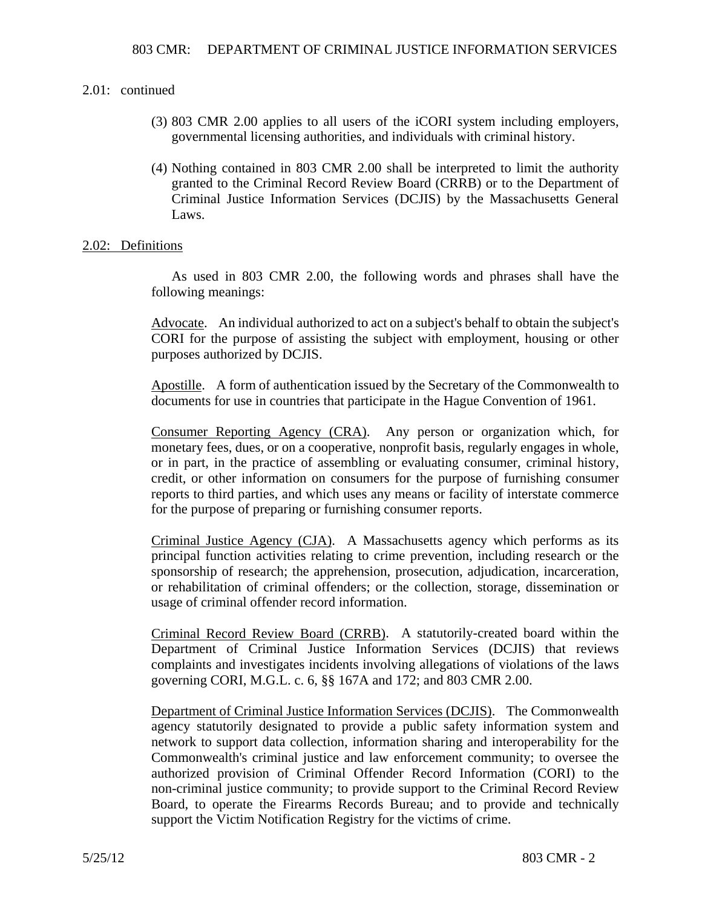- (3) 803 CMR 2.00 applies to all users of the iCORI system including employers, governmental licensing authorities, and individuals with criminal history.
- (4) Nothing contained in 803 CMR 2.00 shall be interpreted to limit the authority granted to the Criminal Record Review Board (CRRB) or to the Department of Criminal Justice Information Services (DCJIS) by the Massachusetts General Laws.

### 2.02: Definitions

As used in 803 CMR 2.00, the following words and phrases shall have the following meanings:

Advocate. An individual authorized to act on a subject's behalf to obtain the subject's CORI for the purpose of assisting the subject with employment, housing or other purposes authorized by DCJIS.

Apostille. A form of authentication issued by the Secretary of the Commonwealth to documents for use in countries that participate in the Hague Convention of 1961.

Consumer Reporting Agency (CRA). Any person or organization which, for monetary fees, dues, or on a cooperative, nonprofit basis, regularly engages in whole, or in part, in the practice of assembling or evaluating consumer, criminal history, credit, or other information on consumers for the purpose of furnishing consumer reports to third parties, and which uses any means or facility of interstate commerce for the purpose of preparing or furnishing consumer reports.

Criminal Justice Agency (CJA). A Massachusetts agency which performs as its principal function activities relating to crime prevention, including research or the sponsorship of research; the apprehension, prosecution, adjudication, incarceration, or rehabilitation of criminal offenders; or the collection, storage, dissemination or usage of criminal offender record information.

Criminal Record Review Board (CRRB). A statutorily-created board within the Department of Criminal Justice Information Services (DCJIS) that reviews complaints and investigates incidents involving allegations of violations of the laws governing CORI, M.G.L. c. 6, §§ 167A and 172; and 803 CMR 2.00.

Department of Criminal Justice Information Services (DCJIS). The Commonwealth agency statutorily designated to provide a public safety information system and network to support data collection, information sharing and interoperability for the Commonwealth's criminal justice and law enforcement community; to oversee the authorized provision of Criminal Offender Record Information (CORI) to the non-criminal justice community; to provide support to the Criminal Record Review Board, to operate the Firearms Records Bureau; and to provide and technically support the Victim Notification Registry for the victims of crime.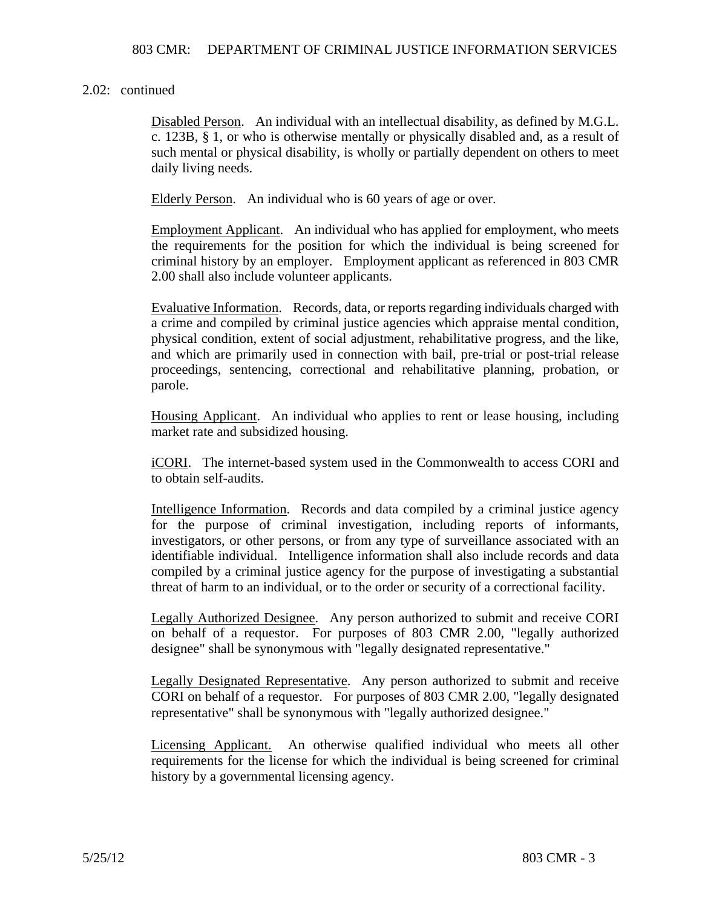Disabled Person. An individual with an intellectual disability, as defined by M.G.L. c. 123B, § 1, or who is otherwise mentally or physically disabled and, as a result of such mental or physical disability, is wholly or partially dependent on others to meet daily living needs.

Elderly Person. An individual who is 60 years of age or over.

Employment Applicant. An individual who has applied for employment, who meets the requirements for the position for which the individual is being screened for criminal history by an employer. Employment applicant as referenced in 803 CMR 2.00 shall also include volunteer applicants.

Evaluative Information. Records, data, or reports regarding individuals charged with a crime and compiled by criminal justice agencies which appraise mental condition, physical condition, extent of social adjustment, rehabilitative progress, and the like, and which are primarily used in connection with bail, pre-trial or post-trial release proceedings, sentencing, correctional and rehabilitative planning, probation, or parole.

Housing Applicant. An individual who applies to rent or lease housing, including market rate and subsidized housing.

iCORI. The internet-based system used in the Commonwealth to access CORI and to obtain self-audits.

Intelligence Information. Records and data compiled by a criminal justice agency for the purpose of criminal investigation, including reports of informants, investigators, or other persons, or from any type of surveillance associated with an identifiable individual. Intelligence information shall also include records and data compiled by a criminal justice agency for the purpose of investigating a substantial threat of harm to an individual, or to the order or security of a correctional facility.

Legally Authorized Designee. Any person authorized to submit and receive CORI on behalf of a requestor. For purposes of 803 CMR 2.00, "legally authorized designee" shall be synonymous with "legally designated representative."

Legally Designated Representative. Any person authorized to submit and receive CORI on behalf of a requestor. For purposes of 803 CMR 2.00, "legally designated representative" shall be synonymous with "legally authorized designee."

Licensing Applicant. An otherwise qualified individual who meets all other requirements for the license for which the individual is being screened for criminal history by a governmental licensing agency.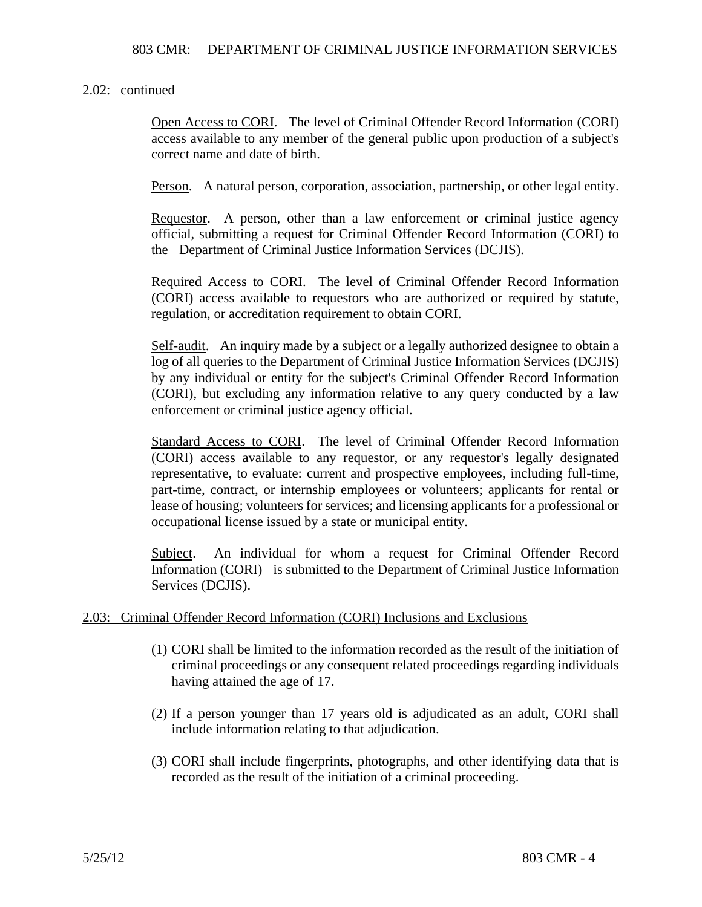Open Access to CORI. The level of Criminal Offender Record Information (CORI) access available to any member of the general public upon production of a subject's correct name and date of birth.

Person. A natural person, corporation, association, partnership, or other legal entity.

Requestor. A person, other than a law enforcement or criminal justice agency official, submitting a request for Criminal Offender Record Information (CORI) to the Department of Criminal Justice Information Services (DCJIS).

Required Access to CORI. The level of Criminal Offender Record Information (CORI) access available to requestors who are authorized or required by statute, regulation, or accreditation requirement to obtain CORI.

Self-audit. An inquiry made by a subject or a legally authorized designee to obtain a log of all queries to the Department of Criminal Justice Information Services (DCJIS) by any individual or entity for the subject's Criminal Offender Record Information (CORI), but excluding any information relative to any query conducted by a law enforcement or criminal justice agency official.

Standard Access to CORI. The level of Criminal Offender Record Information (CORI) access available to any requestor, or any requestor's legally designated representative, to evaluate: current and prospective employees, including full-time, part-time, contract, or internship employees or volunteers; applicants for rental or lease of housing; volunteers for services; and licensing applicants for a professional or occupational license issued by a state or municipal entity.

Subject. An individual for whom a request for Criminal Offender Record Information (CORI) is submitted to the Department of Criminal Justice Information Services (DCJIS).

### 2.03: Criminal Offender Record Information (CORI) Inclusions and Exclusions

- (1) CORI shall be limited to the information recorded as the result of the initiation of criminal proceedings or any consequent related proceedings regarding individuals having attained the age of 17.
- (2) If a person younger than 17 years old is adjudicated as an adult, CORI shall include information relating to that adjudication.
- (3) CORI shall include fingerprints, photographs, and other identifying data that is recorded as the result of the initiation of a criminal proceeding.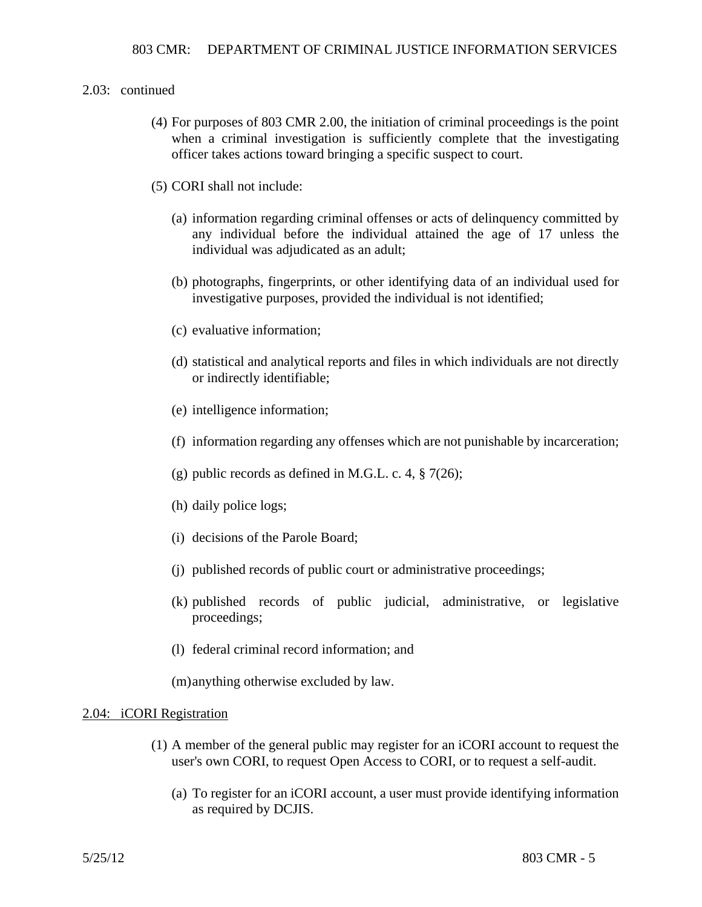- (4) For purposes of 803 CMR 2.00, the initiation of criminal proceedings is the point when a criminal investigation is sufficiently complete that the investigating officer takes actions toward bringing a specific suspect to court.
- (5) CORI shall not include:
	- (a) information regarding criminal offenses or acts of delinquency committed by any individual before the individual attained the age of 17 unless the individual was adjudicated as an adult;
	- (b) photographs, fingerprints, or other identifying data of an individual used for investigative purposes, provided the individual is not identified;
	- (c) evaluative information;
	- (d) statistical and analytical reports and files in which individuals are not directly or indirectly identifiable;
	- (e) intelligence information;
	- (f) information regarding any offenses which are not punishable by incarceration;
	- (g) public records as defined in M.G.L. c. 4,  $\S$  7(26);
	- (h) daily police logs;
	- (i) decisions of the Parole Board;
	- (j) published records of public court or administrative proceedings;
	- (k) published records of public judicial, administrative, or legislative proceedings;
	- (l) federal criminal record information; and

(m) anything otherwise excluded by law.

### 2.04: iCORI Registration

- (1) A member of the general public may register for an iCORI account to request the user's own CORI, to request Open Access to CORI, or to request a self-audit.
	- (a) To register for an iCORI account, a user must provide identifying information as required by DCJIS.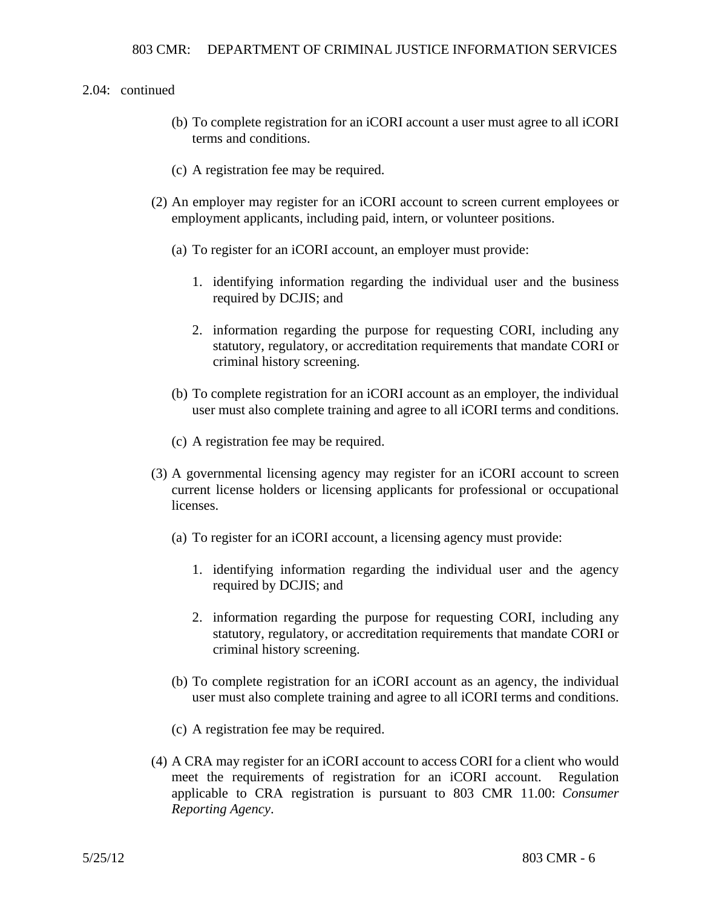- (b) To complete registration for an iCORI account a user must agree to all iCORI terms and conditions.
- (c) A registration fee may be required.
- (2) An employer may register for an iCORI account to screen current employees or employment applicants, including paid, intern, or volunteer positions.
	- (a) To register for an iCORI account, an employer must provide:
		- 1. identifying information regarding the individual user and the business required by DCJIS; and
		- 2. information regarding the purpose for requesting CORI, including any statutory, regulatory, or accreditation requirements that mandate CORI or criminal history screening.
	- (b) To complete registration for an iCORI account as an employer, the individual user must also complete training and agree to all iCORI terms and conditions.
	- (c) A registration fee may be required.
- (3) A governmental licensing agency may register for an iCORI account to screen current license holders or licensing applicants for professional or occupational licenses.
	- (a) To register for an iCORI account, a licensing agency must provide:
		- 1. identifying information regarding the individual user and the agency required by DCJIS; and
		- 2. information regarding the purpose for requesting CORI, including any statutory, regulatory, or accreditation requirements that mandate CORI or criminal history screening.
	- (b) To complete registration for an iCORI account as an agency, the individual user must also complete training and agree to all iCORI terms and conditions.
	- (c) A registration fee may be required.
- (4) A CRA may register for an iCORI account to access CORI for a client who would meet the requirements of registration for an iCORI account. Regulation applicable to CRA registration is pursuant to 803 CMR 11.00: *Consumer Reporting Agency*.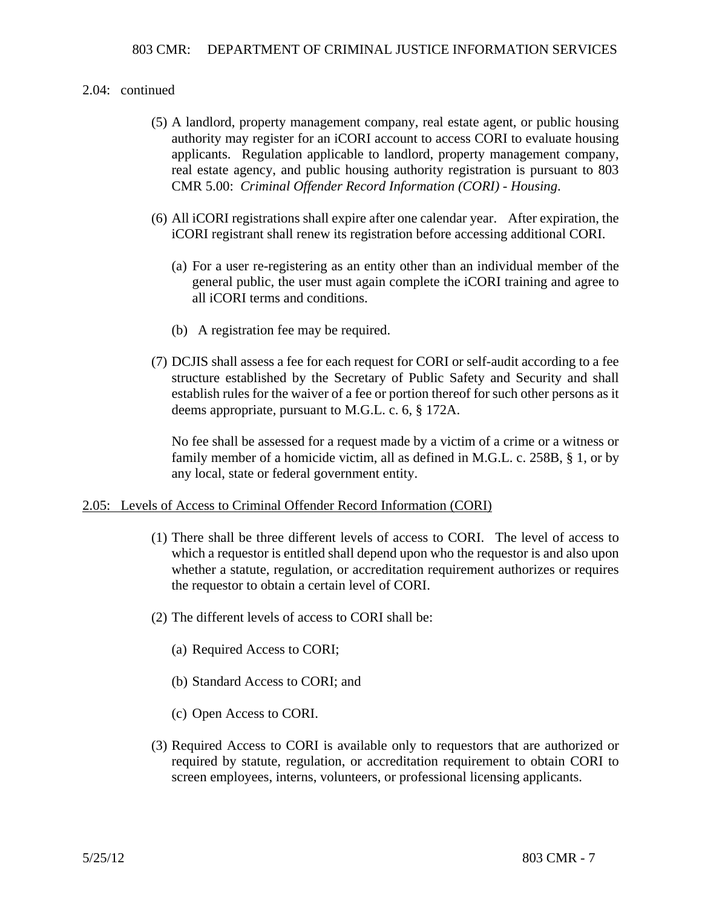- (5) A landlord, property management company, real estate agent, or public housing authority may register for an iCORI account to access CORI to evaluate housing applicants. Regulation applicable to landlord, property management company, real estate agency, and public housing authority registration is pursuant to 803 CMR 5.00: *Criminal Offender Record Information (CORI) - Housing*.
- (6) All iCORI registrations shall expire after one calendar year. After expiration, the iCORI registrant shall renew its registration before accessing additional CORI.
	- (a) For a user re-registering as an entity other than an individual member of the general public, the user must again complete the iCORI training and agree to all iCORI terms and conditions.
	- (b) A registration fee may be required.
- (7) DCJIS shall assess a fee for each request for CORI or self-audit according to a fee structure established by the Secretary of Public Safety and Security and shall establish rules for the waiver of a fee or portion thereof for such other persons as it deems appropriate, pursuant to M.G.L. c. 6, § 172A.

No fee shall be assessed for a request made by a victim of a crime or a witness or family member of a homicide victim, all as defined in M.G.L. c. 258B, § 1, or by any local, state or federal government entity.

### 2.05: Levels of Access to Criminal Offender Record Information (CORI)

- (1) There shall be three different levels of access to CORI. The level of access to which a requestor is entitled shall depend upon who the requestor is and also upon whether a statute, regulation, or accreditation requirement authorizes or requires the requestor to obtain a certain level of CORI.
- (2) The different levels of access to CORI shall be:
	- (a) Required Access to CORI;
	- (b) Standard Access to CORI; and
	- (c) Open Access to CORI.
- (3) Required Access to CORI is available only to requestors that are authorized or required by statute, regulation, or accreditation requirement to obtain CORI to screen employees, interns, volunteers, or professional licensing applicants.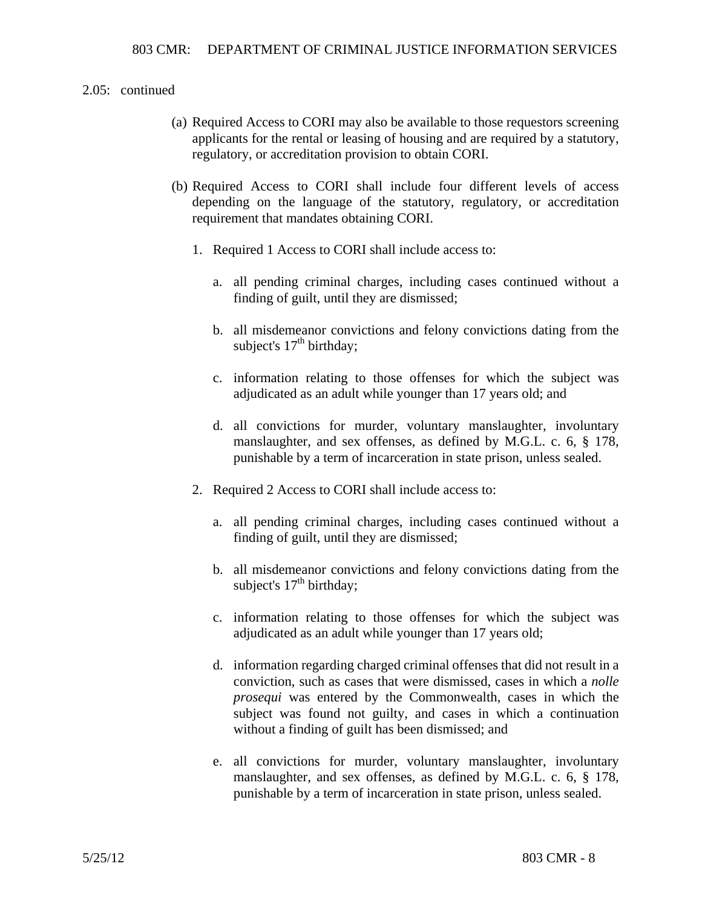- (a) Required Access to CORI may also be available to those requestors screening applicants for the rental or leasing of housing and are required by a statutory, regulatory, or accreditation provision to obtain CORI.
- (b) Required Access to CORI shall include four different levels of access depending on the language of the statutory, regulatory, or accreditation requirement that mandates obtaining CORI.
	- 1. Required 1 Access to CORI shall include access to:
		- a. all pending criminal charges, including cases continued without a finding of guilt, until they are dismissed;
		- b. all misdemeanor convictions and felony convictions dating from the subject's  $17<sup>th</sup>$  birthday;
		- c. information relating to those offenses for which the subject was adjudicated as an adult while younger than 17 years old; and
		- d. all convictions for murder, voluntary manslaughter, involuntary manslaughter, and sex offenses, as defined by M.G.L. c. 6, § 178, punishable by a term of incarceration in state prison, unless sealed.
	- 2. Required 2 Access to CORI shall include access to:
		- a. all pending criminal charges, including cases continued without a finding of guilt, until they are dismissed;
		- b. all misdemeanor convictions and felony convictions dating from the subject's  $17<sup>th</sup>$  birthday;
		- c. information relating to those offenses for which the subject was adjudicated as an adult while younger than 17 years old;
		- d. information regarding charged criminal offenses that did not result in a conviction, such as cases that were dismissed, cases in which a *nolle prosequi* was entered by the Commonwealth, cases in which the subject was found not guilty, and cases in which a continuation without a finding of guilt has been dismissed; and
		- e. all convictions for murder, voluntary manslaughter, involuntary manslaughter, and sex offenses, as defined by M.G.L. c. 6, § 178, punishable by a term of incarceration in state prison, unless sealed.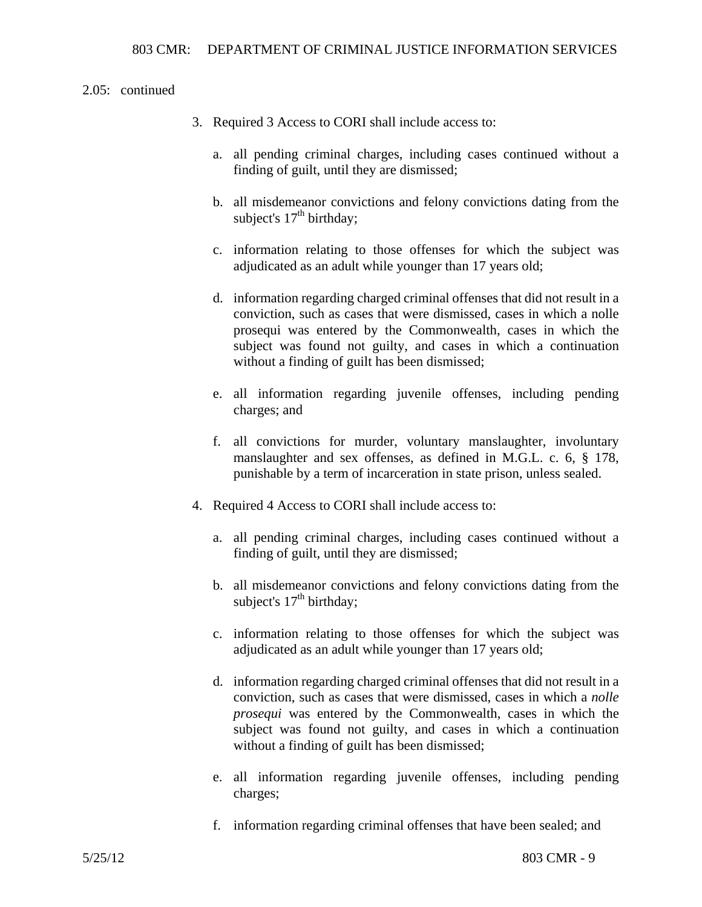- 3. Required 3 Access to CORI shall include access to:
	- a. all pending criminal charges, including cases continued without a finding of guilt, until they are dismissed;
	- b. all misdemeanor convictions and felony convictions dating from the subject's  $17<sup>th</sup>$  birthday;
	- c. information relating to those offenses for which the subject was adjudicated as an adult while younger than 17 years old;
	- d. information regarding charged criminal offenses that did not result in a conviction, such as cases that were dismissed, cases in which a nolle prosequi was entered by the Commonwealth, cases in which the subject was found not guilty, and cases in which a continuation without a finding of guilt has been dismissed;
	- e. all information regarding juvenile offenses, including pending charges; and
	- f. all convictions for murder, voluntary manslaughter, involuntary manslaughter and sex offenses, as defined in M.G.L. c. 6, § 178, punishable by a term of incarceration in state prison, unless sealed.
- 4. Required 4 Access to CORI shall include access to:
	- a. all pending criminal charges, including cases continued without a finding of guilt, until they are dismissed;
	- b. all misdemeanor convictions and felony convictions dating from the subject's  $17<sup>th</sup>$  birthday;
	- c. information relating to those offenses for which the subject was adjudicated as an adult while younger than 17 years old;
	- d. information regarding charged criminal offenses that did not result in a conviction, such as cases that were dismissed, cases in which a *nolle prosequi* was entered by the Commonwealth, cases in which the subject was found not guilty, and cases in which a continuation without a finding of guilt has been dismissed;
	- e. all information regarding juvenile offenses, including pending charges;
	- f. information regarding criminal offenses that have been sealed; and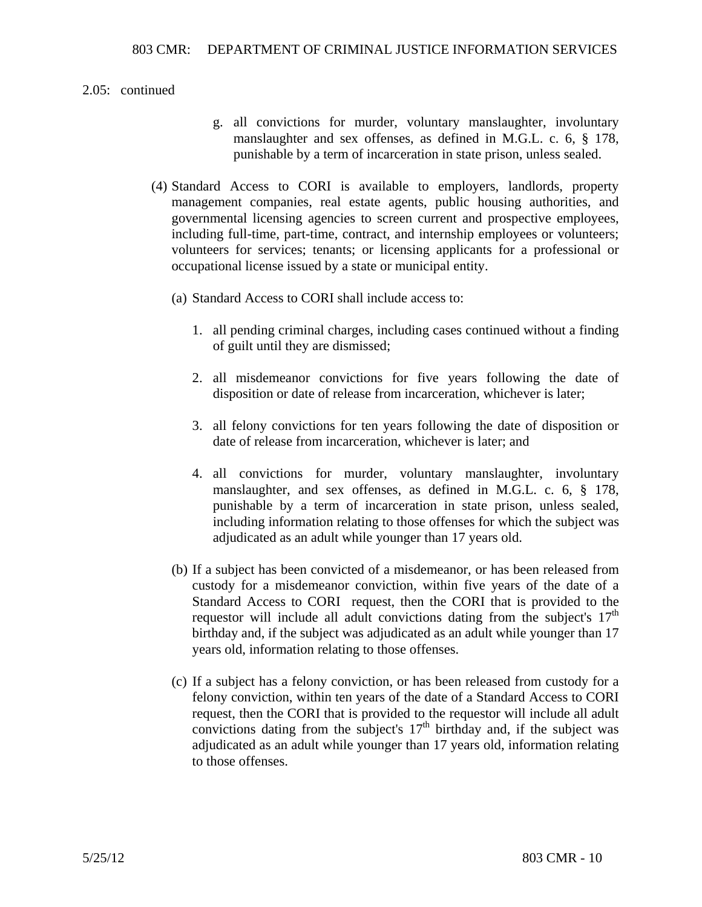- g. all convictions for murder, voluntary manslaughter, involuntary manslaughter and sex offenses, as defined in M.G.L. c. 6, § 178, punishable by a term of incarceration in state prison, unless sealed.
- (4) Standard Access to CORI is available to employers, landlords, property management companies, real estate agents, public housing authorities, and governmental licensing agencies to screen current and prospective employees, including full-time, part-time, contract, and internship employees or volunteers; volunteers for services; tenants; or licensing applicants for a professional or occupational license issued by a state or municipal entity.
	- (a) Standard Access to CORI shall include access to:
		- 1. all pending criminal charges, including cases continued without a finding of guilt until they are dismissed;
		- 2. all misdemeanor convictions for five years following the date of disposition or date of release from incarceration, whichever is later;
		- 3. all felony convictions for ten years following the date of disposition or date of release from incarceration, whichever is later; and
		- 4. all convictions for murder, voluntary manslaughter, involuntary manslaughter, and sex offenses, as defined in M.G.L. c. 6, § 178, punishable by a term of incarceration in state prison, unless sealed, including information relating to those offenses for which the subject was adjudicated as an adult while younger than 17 years old.
	- (b) If a subject has been convicted of a misdemeanor, or has been released from custody for a misdemeanor conviction, within five years of the date of a Standard Access to CORI request, then the CORI that is provided to the requestor will include all adult convictions dating from the subject's  $17<sup>th</sup>$  birthday and, if the subject was adjudicated as an adult while younger than 17 years old, information relating to those offenses.
	- (c) If a subject has a felony conviction, or has been released from custody for a felony conviction, within ten years of the date of a Standard Access to CORI request, then the CORI that is provided to the requestor will include all adult convictions dating from the subject's  $17<sup>th</sup>$  birthday and, if the subject was adjudicated as an adult while younger than 17 years old, information relating to those offenses.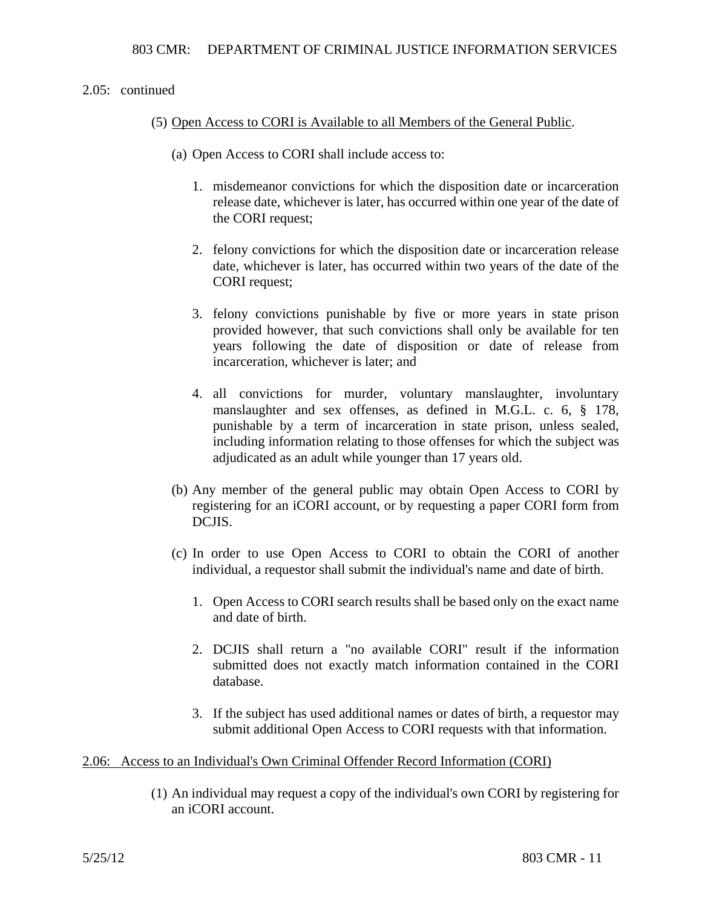## (5) Open Access to CORI is Available to all Members of the General Public.

- (a) Open Access to CORI shall include access to:
	- 1. misdemeanor convictions for which the disposition date or incarceration release date, whichever is later, has occurred within one year of the date of the CORI request;
	- 2. felony convictions for which the disposition date or incarceration release date, whichever is later, has occurred within two years of the date of the CORI request;
	- 3. felony convictions punishable by five or more years in state prison provided however, that such convictions shall only be available for ten years following the date of disposition or date of release from incarceration, whichever is later; and
	- 4. all convictions for murder, voluntary manslaughter, involuntary manslaughter and sex offenses, as defined in M.G.L. c. 6, § 178, punishable by a term of incarceration in state prison, unless sealed, including information relating to those offenses for which the subject was adjudicated as an adult while younger than 17 years old.
- (b) Any member of the general public may obtain Open Access to CORI by registering for an iCORI account, or by requesting a paper CORI form from DCJIS.
- (c) In order to use Open Access to CORI to obtain the CORI of another individual, a requestor shall submit the individual's name and date of birth.
	- 1. Open Access to CORI search results shall be based only on the exact name and date of birth.
	- 2. DCJIS shall return a "no available CORI" result if the information submitted does not exactly match information contained in the CORI database.
	- 3. If the subject has used additional names or dates of birth, a requestor may submit additional Open Access to CORI requests with that information.

### 2.06: Access to an Individual's Own Criminal Offender Record Information (CORI)

(1) An individual may request a copy of the individual's own CORI by registering for an iCORI account.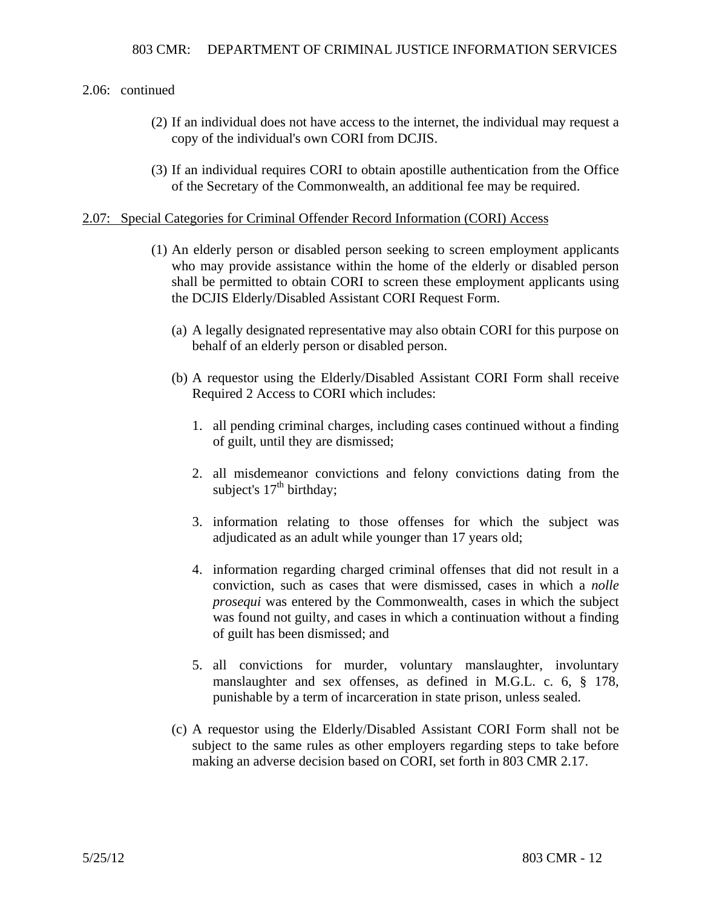- (2) If an individual does not have access to the internet, the individual may request a copy of the individual's own CORI from DCJIS.
- (3) If an individual requires CORI to obtain apostille authentication from the Office of the Secretary of the Commonwealth, an additional fee may be required.

### 2.07: Special Categories for Criminal Offender Record Information (CORI) Access

- (1) An elderly person or disabled person seeking to screen employment applicants who may provide assistance within the home of the elderly or disabled person shall be permitted to obtain CORI to screen these employment applicants using the DCJIS Elderly/Disabled Assistant CORI Request Form.
	- (a) A legally designated representative may also obtain CORI for this purpose on behalf of an elderly person or disabled person.
	- (b) A requestor using the Elderly/Disabled Assistant CORI Form shall receive Required 2 Access to CORI which includes:
		- 1. all pending criminal charges, including cases continued without a finding of guilt, until they are dismissed;
		- 2. all misdemeanor convictions and felony convictions dating from the subject's  $17<sup>th</sup>$  birthday;
		- 3. information relating to those offenses for which the subject was adjudicated as an adult while younger than 17 years old;
		- 4. information regarding charged criminal offenses that did not result in a conviction, such as cases that were dismissed, cases in which a *nolle prosequi* was entered by the Commonwealth, cases in which the subject was found not guilty, and cases in which a continuation without a finding of guilt has been dismissed; and
		- 5. all convictions for murder, voluntary manslaughter, involuntary manslaughter and sex offenses, as defined in M.G.L. c. 6, § 178, punishable by a term of incarceration in state prison, unless sealed.
	- (c) A requestor using the Elderly/Disabled Assistant CORI Form shall not be subject to the same rules as other employers regarding steps to take before making an adverse decision based on CORI, set forth in 803 CMR 2.17.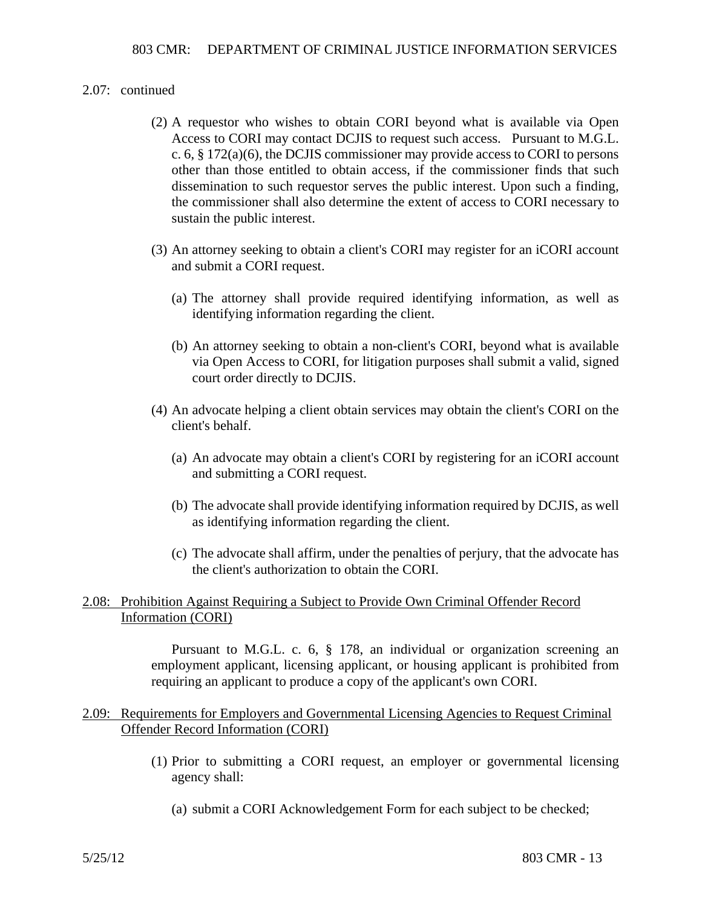- (2) A requestor who wishes to obtain CORI beyond what is available via Open Access to CORI may contact DCJIS to request such access. Pursuant to M.G.L. c. 6, § 172(a)(6), the DCJIS commissioner may provide access to CORI to persons other than those entitled to obtain access, if the commissioner finds that such dissemination to such requestor serves the public interest. Upon such a finding, the commissioner shall also determine the extent of access to CORI necessary to sustain the public interest.
- (3) An attorney seeking to obtain a client's CORI may register for an iCORI account and submit a CORI request.
	- (a) The attorney shall provide required identifying information, as well as identifying information regarding the client.
	- (b) An attorney seeking to obtain a non-client's CORI, beyond what is available via Open Access to CORI, for litigation purposes shall submit a valid, signed court order directly to DCJIS.
- (4) An advocate helping a client obtain services may obtain the client's CORI on the client's behalf.
	- (a) An advocate may obtain a client's CORI by registering for an iCORI account and submitting a CORI request.
	- (b) The advocate shall provide identifying information required by DCJIS, as well as identifying information regarding the client.
	- (c) The advocate shall affirm, under the penalties of perjury, that the advocate has the client's authorization to obtain the CORI.

# 2.08: Prohibition Against Requiring a Subject to Provide Own Criminal Offender Record Information (CORI)

Pursuant to M.G.L. c. 6, § 178, an individual or organization screening an employment applicant, licensing applicant, or housing applicant is prohibited from requiring an applicant to produce a copy of the applicant's own CORI.

### 2.09: Requirements for Employers and Governmental Licensing Agencies to Request Criminal Offender Record Information (CORI)

- (1) Prior to submitting a CORI request, an employer or governmental licensing agency shall:
	- (a) submit a CORI Acknowledgement Form for each subject to be checked;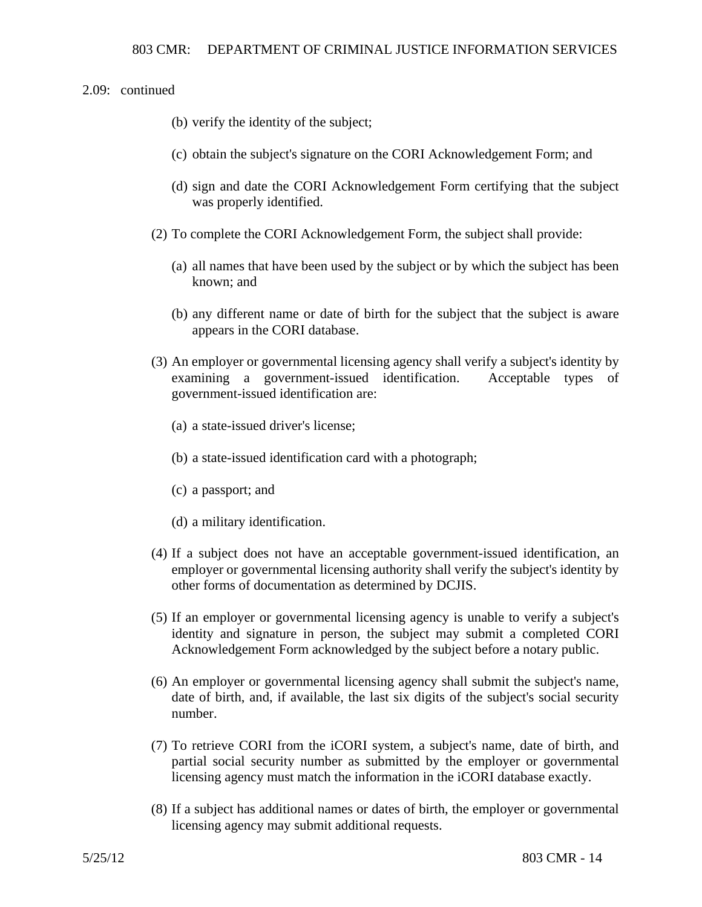- (b) verify the identity of the subject;
- (c) obtain the subject's signature on the CORI Acknowledgement Form; and
- (d) sign and date the CORI Acknowledgement Form certifying that the subject was properly identified.
- (2) To complete the CORI Acknowledgement Form, the subject shall provide:
	- (a) all names that have been used by the subject or by which the subject has been known; and
	- (b) any different name or date of birth for the subject that the subject is aware appears in the CORI database.
- (3) An employer or governmental licensing agency shall verify a subject's identity by examining a government-issued identification. Acceptable types of government-issued identification are:
	- (a) a state-issued driver's license;
	- (b) a state-issued identification card with a photograph;
	- (c) a passport; and
	- (d) a military identification.
- (4) If a subject does not have an acceptable government-issued identification, an employer or governmental licensing authority shall verify the subject's identity by other forms of documentation as determined by DCJIS.
- (5) If an employer or governmental licensing agency is unable to verify a subject's identity and signature in person, the subject may submit a completed CORI Acknowledgement Form acknowledged by the subject before a notary public.
- (6) An employer or governmental licensing agency shall submit the subject's name, date of birth, and, if available, the last six digits of the subject's social security number.
- (7) To retrieve CORI from the iCORI system, a subject's name, date of birth, and partial social security number as submitted by the employer or governmental licensing agency must match the information in the iCORI database exactly.
- (8) If a subject has additional names or dates of birth, the employer or governmental licensing agency may submit additional requests.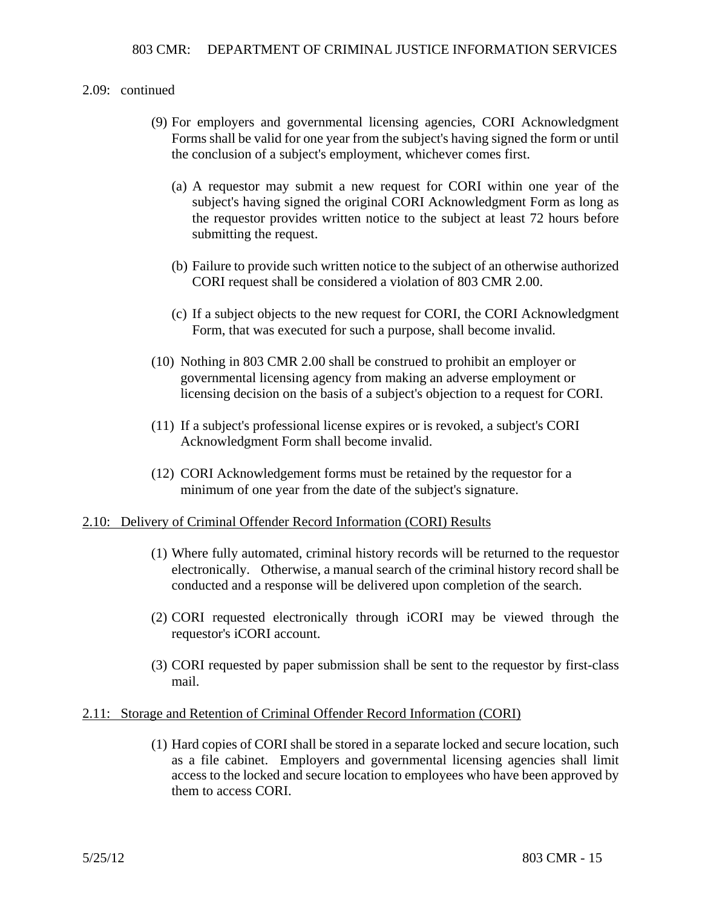- (9) For employers and governmental licensing agencies, CORI Acknowledgment Forms shall be valid for one year from the subject's having signed the form or until the conclusion of a subject's employment, whichever comes first.
	- (a) A requestor may submit a new request for CORI within one year of the subject's having signed the original CORI Acknowledgment Form as long as the requestor provides written notice to the subject at least 72 hours before submitting the request.
	- (b) Failure to provide such written notice to the subject of an otherwise authorized CORI request shall be considered a violation of 803 CMR 2.00.
	- (c) If a subject objects to the new request for CORI, the CORI Acknowledgment Form, that was executed for such a purpose, shall become invalid.
- (10) Nothing in 803 CMR 2.00 shall be construed to prohibit an employer or governmental licensing agency from making an adverse employment or licensing decision on the basis of a subject's objection to a request for CORI.
- (11) If a subject's professional license expires or is revoked, a subject's CORI Acknowledgment Form shall become invalid.
- (12) CORI Acknowledgement forms must be retained by the requestor for a minimum of one year from the date of the subject's signature.

### 2.10: Delivery of Criminal Offender Record Information (CORI) Results

- (1) Where fully automated, criminal history records will be returned to the requestor electronically. Otherwise, a manual search of the criminal history record shall be conducted and a response will be delivered upon completion of the search.
- (2) CORI requested electronically through iCORI may be viewed through the requestor's iCORI account.
- (3) CORI requested by paper submission shall be sent to the requestor by first-class mail.

#### 2.11: Storage and Retention of Criminal Offender Record Information (CORI)

(1) Hard copies of CORI shall be stored in a separate locked and secure location, such as a file cabinet. Employers and governmental licensing agencies shall limit access to the locked and secure location to employees who have been approved by them to access CORI.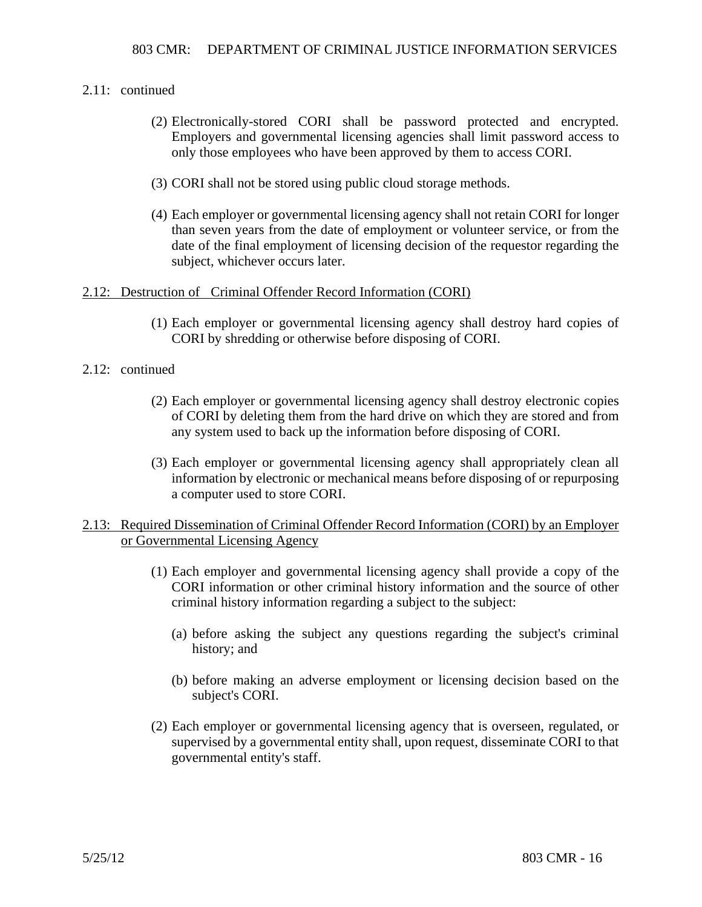### 2.11: continued

- (2) Electronically-stored CORI shall be password protected and encrypted. Employers and governmental licensing agencies shall limit password access to only those employees who have been approved by them to access CORI.
- (3) CORI shall not be stored using public cloud storage methods.
- (4) Each employer or governmental licensing agency shall not retain CORI for longer than seven years from the date of employment or volunteer service, or from the date of the final employment of licensing decision of the requestor regarding the subject, whichever occurs later.

### 2.12: Destruction of Criminal Offender Record Information (CORI)

(1) Each employer or governmental licensing agency shall destroy hard copies of CORI by shredding or otherwise before disposing of CORI.

### 2.12: continued

- (2) Each employer or governmental licensing agency shall destroy electronic copies of CORI by deleting them from the hard drive on which they are stored and from any system used to back up the information before disposing of CORI.
- (3) Each employer or governmental licensing agency shall appropriately clean all information by electronic or mechanical means before disposing of or repurposing a computer used to store CORI.

### 2.13: Required Dissemination of Criminal Offender Record Information (CORI) by an Employer or Governmental Licensing Agency

- (1) Each employer and governmental licensing agency shall provide a copy of the CORI information or other criminal history information and the source of other criminal history information regarding a subject to the subject:
	- (a) before asking the subject any questions regarding the subject's criminal history; and
	- (b) before making an adverse employment or licensing decision based on the subject's CORI.
- (2) Each employer or governmental licensing agency that is overseen, regulated, or supervised by a governmental entity shall, upon request, disseminate CORI to that governmental entity's staff.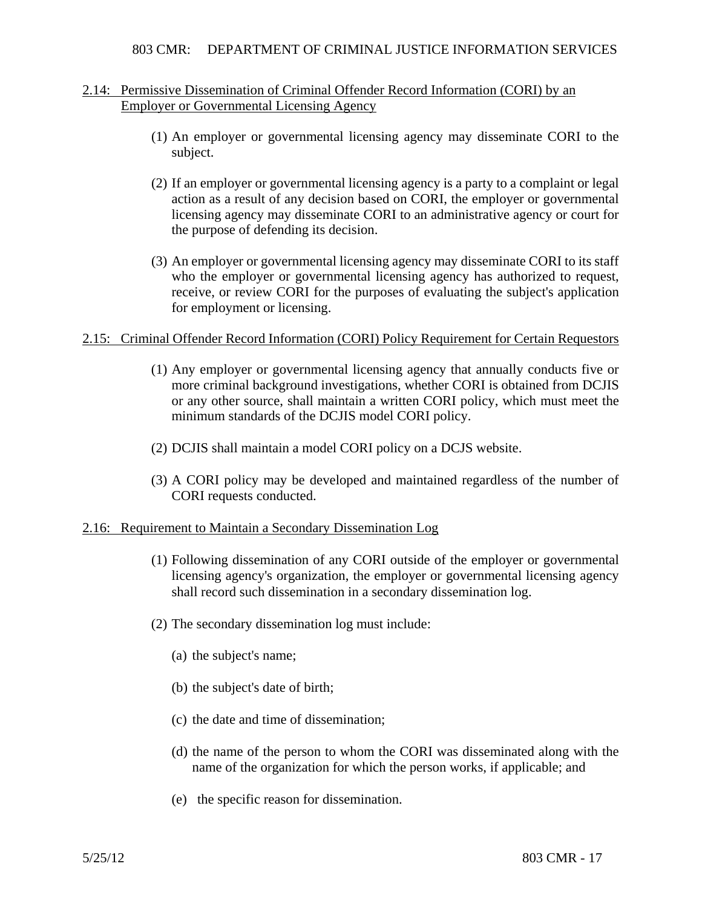### 2.14: Permissive Dissemination of Criminal Offender Record Information (CORI) by an Employer or Governmental Licensing Agency

- (1) An employer or governmental licensing agency may disseminate CORI to the subject.
- (2) If an employer or governmental licensing agency is a party to a complaint or legal action as a result of any decision based on CORI, the employer or governmental licensing agency may disseminate CORI to an administrative agency or court for the purpose of defending its decision.
- (3) An employer or governmental licensing agency may disseminate CORI to its staff who the employer or governmental licensing agency has authorized to request, receive, or review CORI for the purposes of evaluating the subject's application for employment or licensing.

### 2.15: Criminal Offender Record Information (CORI) Policy Requirement for Certain Requestors

- (1) Any employer or governmental licensing agency that annually conducts five or more criminal background investigations, whether CORI is obtained from DCJIS or any other source, shall maintain a written CORI policy, which must meet the minimum standards of the DCJIS model CORI policy.
- (2) DCJIS shall maintain a model CORI policy on a DCJS website.
- (3) A CORI policy may be developed and maintained regardless of the number of CORI requests conducted.

### 2.16: Requirement to Maintain a Secondary Dissemination Log

- (1) Following dissemination of any CORI outside of the employer or governmental licensing agency's organization, the employer or governmental licensing agency shall record such dissemination in a secondary dissemination log.
- (2) The secondary dissemination log must include:
	- (a) the subject's name;
	- (b) the subject's date of birth;
	- (c) the date and time of dissemination;
	- (d) the name of the person to whom the CORI was disseminated along with the name of the organization for which the person works, if applicable; and
	- (e) the specific reason for dissemination.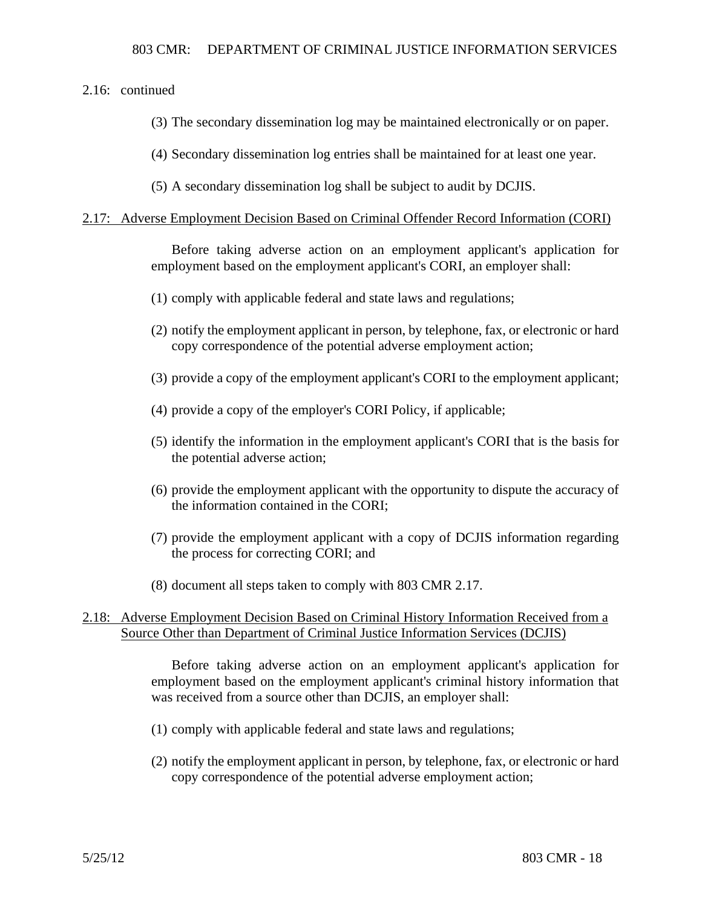2.16: continued

(3) The secondary dissemination log may be maintained electronically or on paper.

(4) Secondary dissemination log entries shall be maintained for at least one year.

(5) A secondary dissemination log shall be subject to audit by DCJIS.

### 2.17: Adverse Employment Decision Based on Criminal Offender Record Information (CORI)

Before taking adverse action on an employment applicant's application for employment based on the employment applicant's CORI, an employer shall:

- (1) comply with applicable federal and state laws and regulations;
- (2) notify the employment applicant in person, by telephone, fax, or electronic or hard copy correspondence of the potential adverse employment action;
- (3) provide a copy of the employment applicant's CORI to the employment applicant;
- (4) provide a copy of the employer's CORI Policy, if applicable;
- (5) identify the information in the employment applicant's CORI that is the basis for the potential adverse action;
- (6) provide the employment applicant with the opportunity to dispute the accuracy of the information contained in the CORI;
- (7) provide the employment applicant with a copy of DCJIS information regarding the process for correcting CORI; and
- (8) document all steps taken to comply with 803 CMR 2.17.

# 2.18: Adverse Employment Decision Based on Criminal History Information Received from a Source Other than Department of Criminal Justice Information Services (DCJIS)

Before taking adverse action on an employment applicant's application for employment based on the employment applicant's criminal history information that was received from a source other than DCJIS, an employer shall:

- (1) comply with applicable federal and state laws and regulations;
- (2) notify the employment applicant in person, by telephone, fax, or electronic or hard copy correspondence of the potential adverse employment action;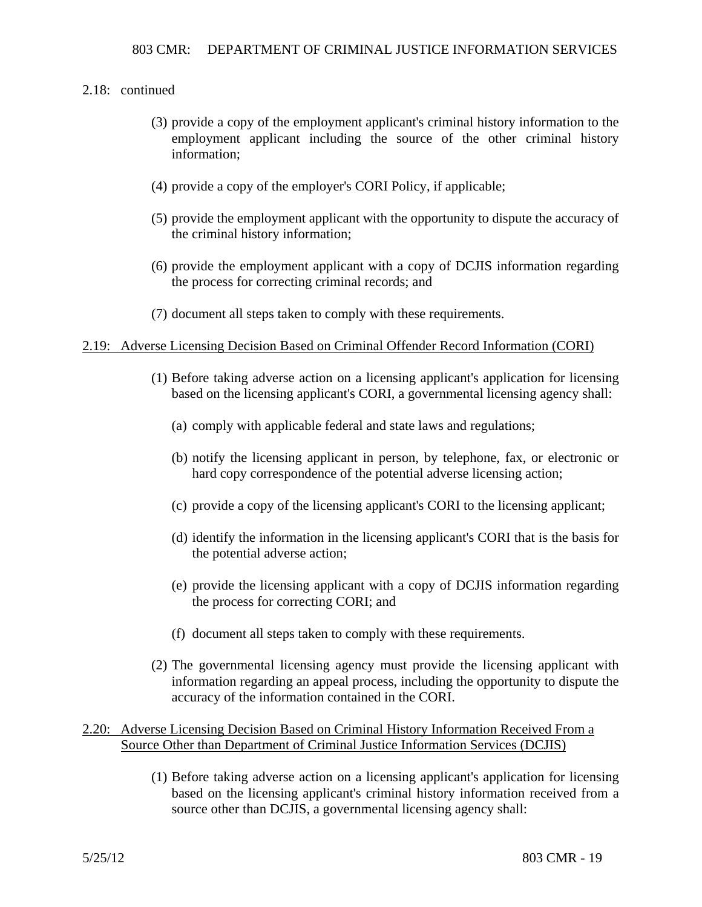### 2.18: continued

- (3) provide a copy of the employment applicant's criminal history information to the employment applicant including the source of the other criminal history information;
- (4) provide a copy of the employer's CORI Policy, if applicable;
- (5) provide the employment applicant with the opportunity to dispute the accuracy of the criminal history information;
- (6) provide the employment applicant with a copy of DCJIS information regarding the process for correcting criminal records; and
- (7) document all steps taken to comply with these requirements.

### 2.19: Adverse Licensing Decision Based on Criminal Offender Record Information (CORI)

- (1) Before taking adverse action on a licensing applicant's application for licensing based on the licensing applicant's CORI, a governmental licensing agency shall:
	- (a) comply with applicable federal and state laws and regulations;
	- (b) notify the licensing applicant in person, by telephone, fax, or electronic or hard copy correspondence of the potential adverse licensing action;
	- (c) provide a copy of the licensing applicant's CORI to the licensing applicant;
	- (d) identify the information in the licensing applicant's CORI that is the basis for the potential adverse action;
	- (e) provide the licensing applicant with a copy of DCJIS information regarding the process for correcting CORI; and
	- (f) document all steps taken to comply with these requirements.
- (2) The governmental licensing agency must provide the licensing applicant with information regarding an appeal process, including the opportunity to dispute the accuracy of the information contained in the CORI.

### 2.20: Adverse Licensing Decision Based on Criminal History Information Received From a Source Other than Department of Criminal Justice Information Services (DCJIS)

(1) Before taking adverse action on a licensing applicant's application for licensing based on the licensing applicant's criminal history information received from a source other than DCJIS, a governmental licensing agency shall: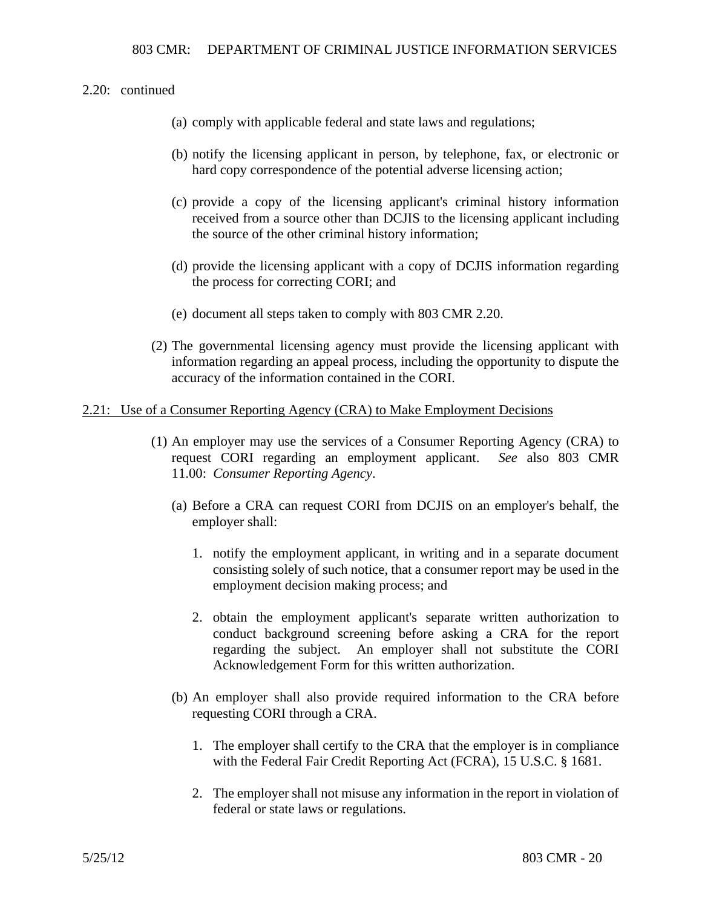- (a) comply with applicable federal and state laws and regulations;
- (b) notify the licensing applicant in person, by telephone, fax, or electronic or hard copy correspondence of the potential adverse licensing action;
- (c) provide a copy of the licensing applicant's criminal history information received from a source other than DCJIS to the licensing applicant including the source of the other criminal history information;
- (d) provide the licensing applicant with a copy of DCJIS information regarding the process for correcting CORI; and
- (e) document all steps taken to comply with 803 CMR 2.20.
- (2) The governmental licensing agency must provide the licensing applicant with information regarding an appeal process, including the opportunity to dispute the accuracy of the information contained in the CORI.

### 2.21: Use of a Consumer Reporting Agency (CRA) to Make Employment Decisions

- (1) An employer may use the services of a Consumer Reporting Agency (CRA) to request CORI regarding an employment applicant. *See* also 803 CMR 11.00: *Consumer Reporting Agency*.
	- (a) Before a CRA can request CORI from DCJIS on an employer's behalf, the employer shall:
		- 1. notify the employment applicant, in writing and in a separate document consisting solely of such notice, that a consumer report may be used in the employment decision making process; and
		- 2. obtain the employment applicant's separate written authorization to conduct background screening before asking a CRA for the report regarding the subject. An employer shall not substitute the CORI Acknowledgement Form for this written authorization.
	- (b) An employer shall also provide required information to the CRA before requesting CORI through a CRA.
		- 1. The employer shall certify to the CRA that the employer is in compliance with the Federal Fair Credit Reporting Act (FCRA), 15 U.S.C. § 1681.
		- 2. The employer shall not misuse any information in the report in violation of federal or state laws or regulations.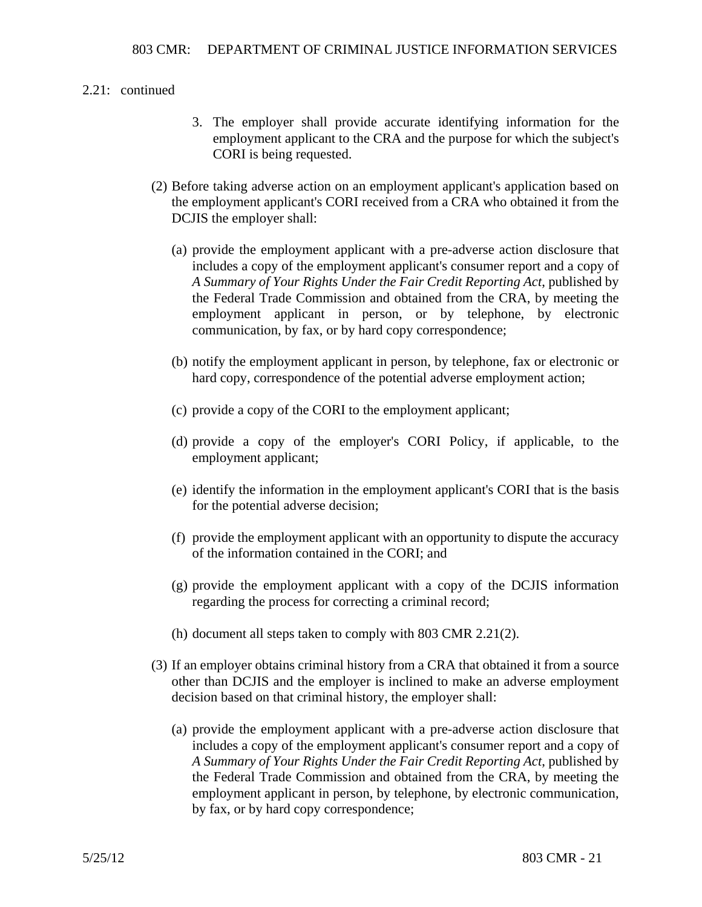### 2.21: continued

- 3. The employer shall provide accurate identifying information for the employment applicant to the CRA and the purpose for which the subject's CORI is being requested.
- (2) Before taking adverse action on an employment applicant's application based on the employment applicant's CORI received from a CRA who obtained it from the DCJIS the employer shall:
	- (a) provide the employment applicant with a pre-adverse action disclosure that includes a copy of the employment applicant's consumer report and a copy of *A Summary of Your Rights Under the Fair Credit Reporting Act*, published by the Federal Trade Commission and obtained from the CRA, by meeting the employment applicant in person, or by telephone, by electronic communication, by fax, or by hard copy correspondence;
	- (b) notify the employment applicant in person, by telephone, fax or electronic or hard copy, correspondence of the potential adverse employment action;
	- (c) provide a copy of the CORI to the employment applicant;
	- (d) provide a copy of the employer's CORI Policy, if applicable, to the employment applicant;
	- (e) identify the information in the employment applicant's CORI that is the basis for the potential adverse decision;
	- (f) provide the employment applicant with an opportunity to dispute the accuracy of the information contained in the CORI; and
	- (g) provide the employment applicant with a copy of the DCJIS information regarding the process for correcting a criminal record;
	- (h) document all steps taken to comply with 803 CMR 2.21(2).
- (3) If an employer obtains criminal history from a CRA that obtained it from a source other than DCJIS and the employer is inclined to make an adverse employment decision based on that criminal history, the employer shall:
	- (a) provide the employment applicant with a pre-adverse action disclosure that includes a copy of the employment applicant's consumer report and a copy of *A Summary of Your Rights Under the Fair Credit Reporting Act*, published by the Federal Trade Commission and obtained from the CRA, by meeting the employment applicant in person, by telephone, by electronic communication, by fax, or by hard copy correspondence;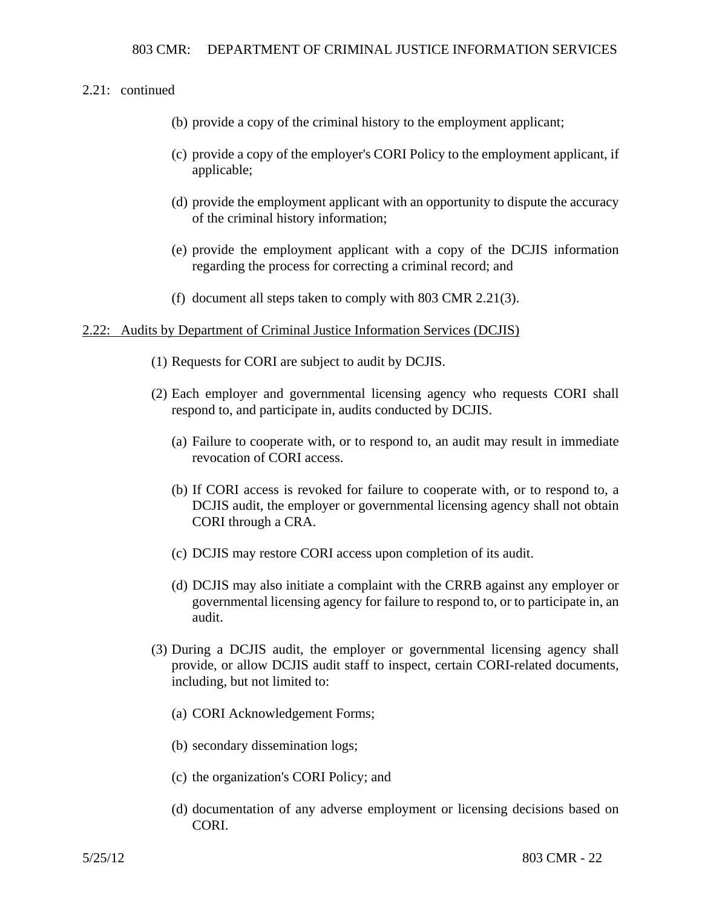### 2.21: continued

- (b) provide a copy of the criminal history to the employment applicant;
- (c) provide a copy of the employer's CORI Policy to the employment applicant, if applicable;
- (d) provide the employment applicant with an opportunity to dispute the accuracy of the criminal history information;
- (e) provide the employment applicant with a copy of the DCJIS information regarding the process for correcting a criminal record; and
- (f) document all steps taken to comply with 803 CMR 2.21(3).

### 2.22: Audits by Department of Criminal Justice Information Services (DCJIS)

- (1) Requests for CORI are subject to audit by DCJIS.
- (2) Each employer and governmental licensing agency who requests CORI shall respond to, and participate in, audits conducted by DCJIS.
	- (a) Failure to cooperate with, or to respond to, an audit may result in immediate revocation of CORI access.
	- (b) If CORI access is revoked for failure to cooperate with, or to respond to, a DCJIS audit, the employer or governmental licensing agency shall not obtain CORI through a CRA.
	- (c) DCJIS may restore CORI access upon completion of its audit.
	- (d) DCJIS may also initiate a complaint with the CRRB against any employer or governmental licensing agency for failure to respond to, or to participate in, an audit.
- (3) During a DCJIS audit, the employer or governmental licensing agency shall provide, or allow DCJIS audit staff to inspect, certain CORI-related documents, including, but not limited to:
	- (a) CORI Acknowledgement Forms;
	- (b) secondary dissemination logs;
	- (c) the organization's CORI Policy; and
	- (d) documentation of any adverse employment or licensing decisions based on CORI.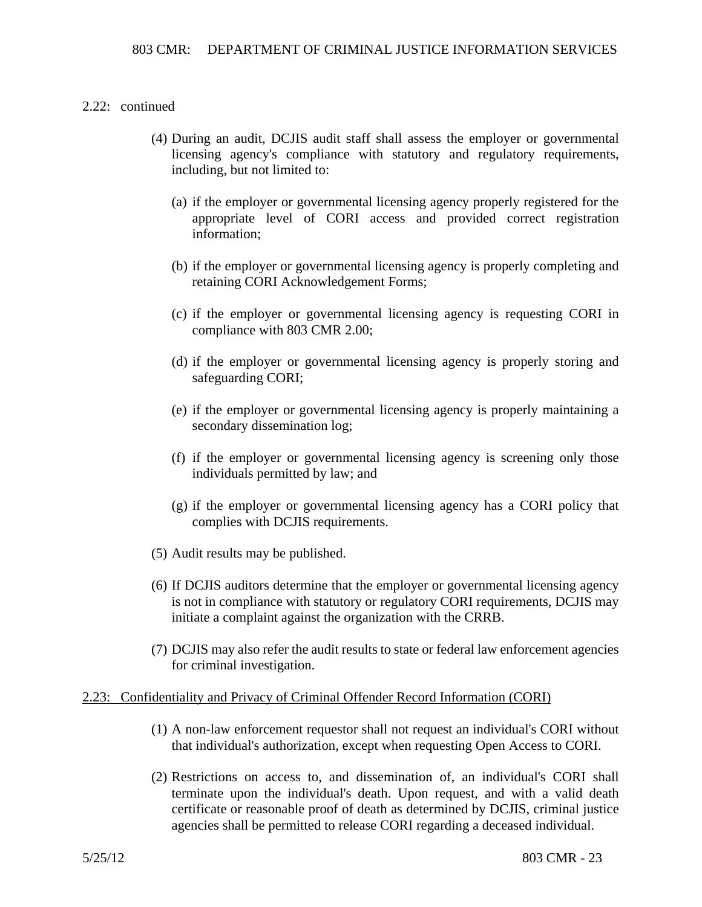### 2.22: continued

- (4) During an audit, DCJIS audit staff shall assess the employer or governmental licensing agency's compliance with statutory and regulatory requirements, including, but not limited to:
	- (a) if the employer or governmental licensing agency properly registered for the appropriate level of CORI access and provided correct registration information;
	- (b) if the employer or governmental licensing agency is properly completing and retaining CORI Acknowledgement Forms;
	- (c) if the employer or governmental licensing agency is requesting CORI in compliance with 803 CMR 2.00;
	- (d) if the employer or governmental licensing agency is properly storing and safeguarding CORI;
	- (e) if the employer or governmental licensing agency is properly maintaining a secondary dissemination log;
	- (f) if the employer or governmental licensing agency is screening only those individuals permitted by law; and
	- (g) if the employer or governmental licensing agency has a CORI policy that complies with DCJIS requirements.
- (5) Audit results may be published.
- (6) If DCJIS auditors determine that the employer or governmental licensing agency is not in compliance with statutory or regulatory CORI requirements, DCJIS may initiate a complaint against the organization with the CRRB.
- (7) DCJIS may also refer the audit results to state or federal law enforcement agencies for criminal investigation.

### 2.23: Confidentiality and Privacy of Criminal Offender Record Information (CORI)

- (1) A non-law enforcement requestor shall not request an individual's CORI without that individual's authorization, except when requesting Open Access to CORI.
- (2) Restrictions on access to, and dissemination of, an individual's CORI shall terminate upon the individual's death. Upon request, and with a valid death certificate or reasonable proof of death as determined by DCJIS, criminal justice agencies shall be permitted to release CORI regarding a deceased individual.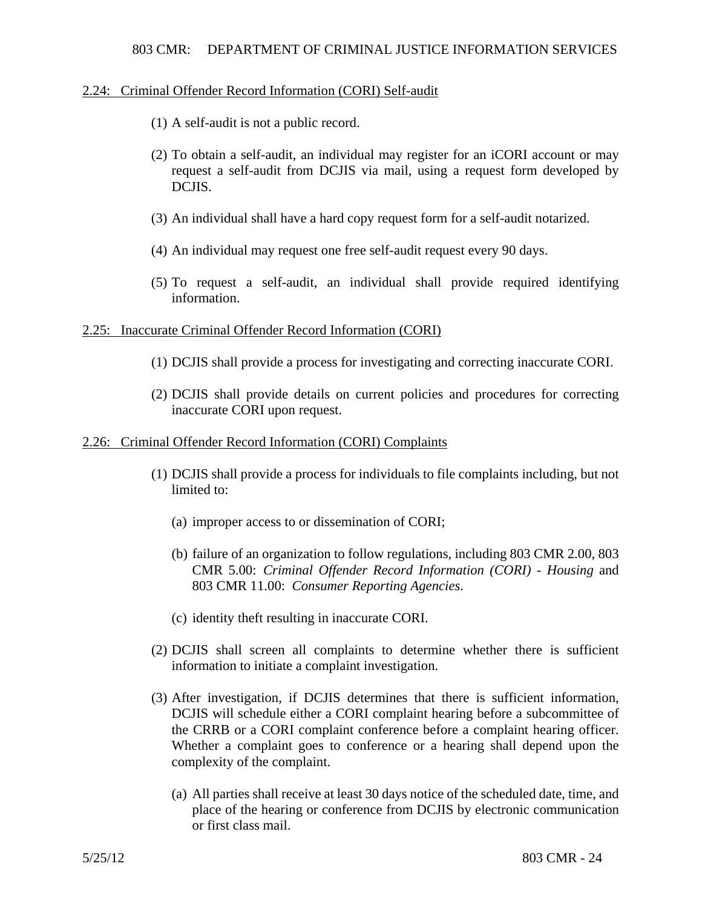### 2.24: Criminal Offender Record Information (CORI) Self-audit

- (1) A self-audit is not a public record.
- (2) To obtain a self-audit, an individual may register for an iCORI account or may request a self-audit from DCJIS via mail, using a request form developed by DCJIS.
- (3) An individual shall have a hard copy request form for a self-audit notarized.
- (4) An individual may request one free self-audit request every 90 days.
- (5) To request a self-audit, an individual shall provide required identifying information.

### 2.25: Inaccurate Criminal Offender Record Information (CORI)

- (1) DCJIS shall provide a process for investigating and correcting inaccurate CORI.
- (2) DCJIS shall provide details on current policies and procedures for correcting inaccurate CORI upon request.

### 2.26: Criminal Offender Record Information (CORI) Complaints

- (1) DCJIS shall provide a process for individuals to file complaints including, but not limited to:
	- (a) improper access to or dissemination of CORI;
	- (b) failure of an organization to follow regulations, including 803 CMR 2.00, 803 CMR 5.00: *Criminal Offender Record Information (CORI) - Housing* and 803 CMR 11.00: *Consumer Reporting Agencies*.
	- (c) identity theft resulting in inaccurate CORI.
- (2) DCJIS shall screen all complaints to determine whether there is sufficient information to initiate a complaint investigation.
- (3) After investigation, if DCJIS determines that there is sufficient information, DCJIS will schedule either a CORI complaint hearing before a subcommittee of the CRRB or a CORI complaint conference before a complaint hearing officer. Whether a complaint goes to conference or a hearing shall depend upon the complexity of the complaint.
	- (a) All parties shall receive at least 30 days notice of the scheduled date, time, and place of the hearing or conference from DCJIS by electronic communication or first class mail.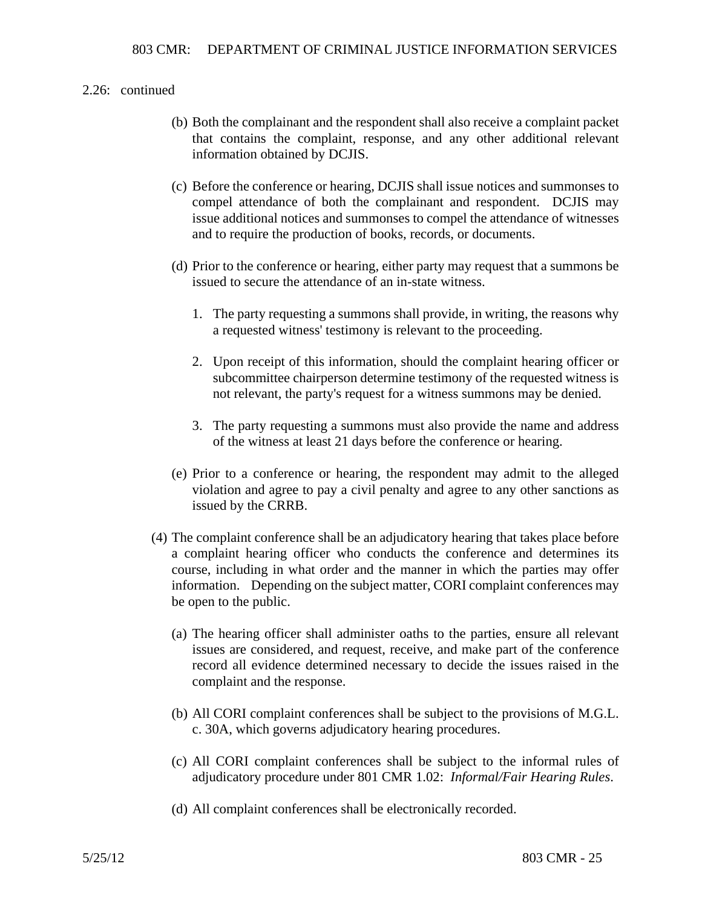### 2.26: continued

- (b) Both the complainant and the respondent shall also receive a complaint packet that contains the complaint, response, and any other additional relevant information obtained by DCJIS.
- (c) Before the conference or hearing, DCJIS shall issue notices and summonses to compel attendance of both the complainant and respondent. DCJIS may issue additional notices and summonses to compel the attendance of witnesses and to require the production of books, records, or documents.
- (d) Prior to the conference or hearing, either party may request that a summons be issued to secure the attendance of an in-state witness.
	- 1. The party requesting a summons shall provide, in writing, the reasons why a requested witness' testimony is relevant to the proceeding.
	- 2. Upon receipt of this information, should the complaint hearing officer or subcommittee chairperson determine testimony of the requested witness is not relevant, the party's request for a witness summons may be denied.
	- 3. The party requesting a summons must also provide the name and address of the witness at least 21 days before the conference or hearing.
- (e) Prior to a conference or hearing, the respondent may admit to the alleged violation and agree to pay a civil penalty and agree to any other sanctions as issued by the CRRB.
- (4) The complaint conference shall be an adjudicatory hearing that takes place before a complaint hearing officer who conducts the conference and determines its course, including in what order and the manner in which the parties may offer information. Depending on the subject matter, CORI complaint conferences may be open to the public.
	- (a) The hearing officer shall administer oaths to the parties, ensure all relevant issues are considered, and request, receive, and make part of the conference record all evidence determined necessary to decide the issues raised in the complaint and the response.
	- (b) All CORI complaint conferences shall be subject to the provisions of M.G.L. c. 30A, which governs adjudicatory hearing procedures.
	- (c) All CORI complaint conferences shall be subject to the informal rules of adjudicatory procedure under 801 CMR 1.02: *Informal/Fair Hearing Rules*.
	- (d) All complaint conferences shall be electronically recorded.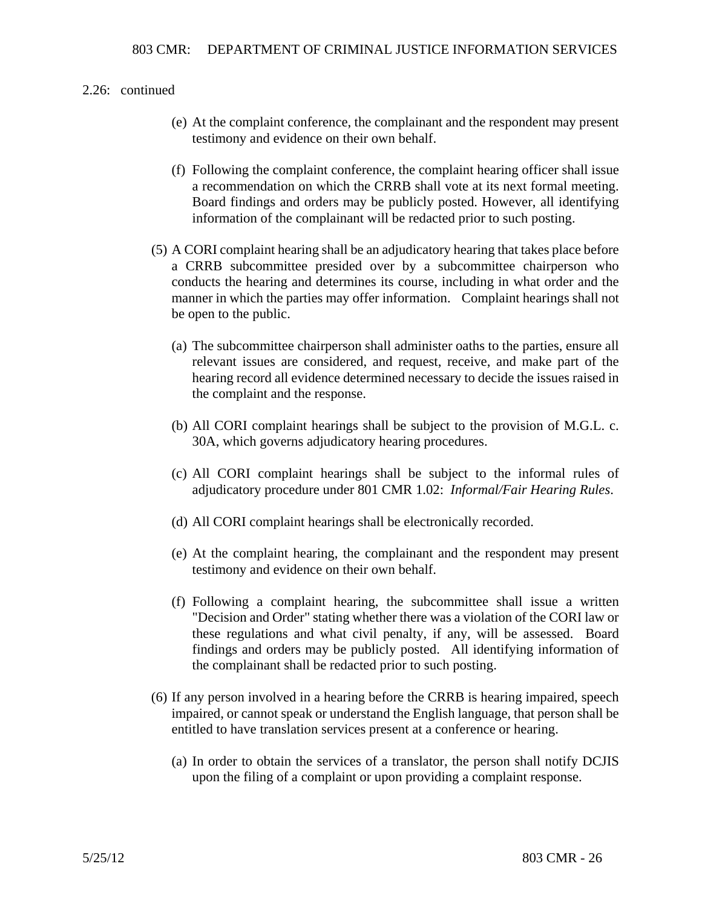### 2.26: continued

- (e) At the complaint conference, the complainant and the respondent may present testimony and evidence on their own behalf.
- (f) Following the complaint conference, the complaint hearing officer shall issue a recommendation on which the CRRB shall vote at its next formal meeting. Board findings and orders may be publicly posted. However, all identifying information of the complainant will be redacted prior to such posting.
- (5) A CORI complaint hearing shall be an adjudicatory hearing that takes place before a CRRB subcommittee presided over by a subcommittee chairperson who conducts the hearing and determines its course, including in what order and the manner in which the parties may offer information. Complaint hearings shall not be open to the public.
	- (a) The subcommittee chairperson shall administer oaths to the parties, ensure all relevant issues are considered, and request, receive, and make part of the hearing record all evidence determined necessary to decide the issues raised in the complaint and the response.
	- (b) All CORI complaint hearings shall be subject to the provision of M.G.L. c. 30A, which governs adjudicatory hearing procedures.
	- (c) All CORI complaint hearings shall be subject to the informal rules of adjudicatory procedure under 801 CMR 1.02: *Informal/Fair Hearing Rules*.
	- (d) All CORI complaint hearings shall be electronically recorded.
	- (e) At the complaint hearing, the complainant and the respondent may present testimony and evidence on their own behalf.
	- (f) Following a complaint hearing, the subcommittee shall issue a written "Decision and Order" stating whether there was a violation of the CORI law or these regulations and what civil penalty, if any, will be assessed. Board findings and orders may be publicly posted. All identifying information of the complainant shall be redacted prior to such posting.
- (6) If any person involved in a hearing before the CRRB is hearing impaired, speech impaired, or cannot speak or understand the English language, that person shall be entitled to have translation services present at a conference or hearing.
	- (a) In order to obtain the services of a translator, the person shall notify DCJIS upon the filing of a complaint or upon providing a complaint response.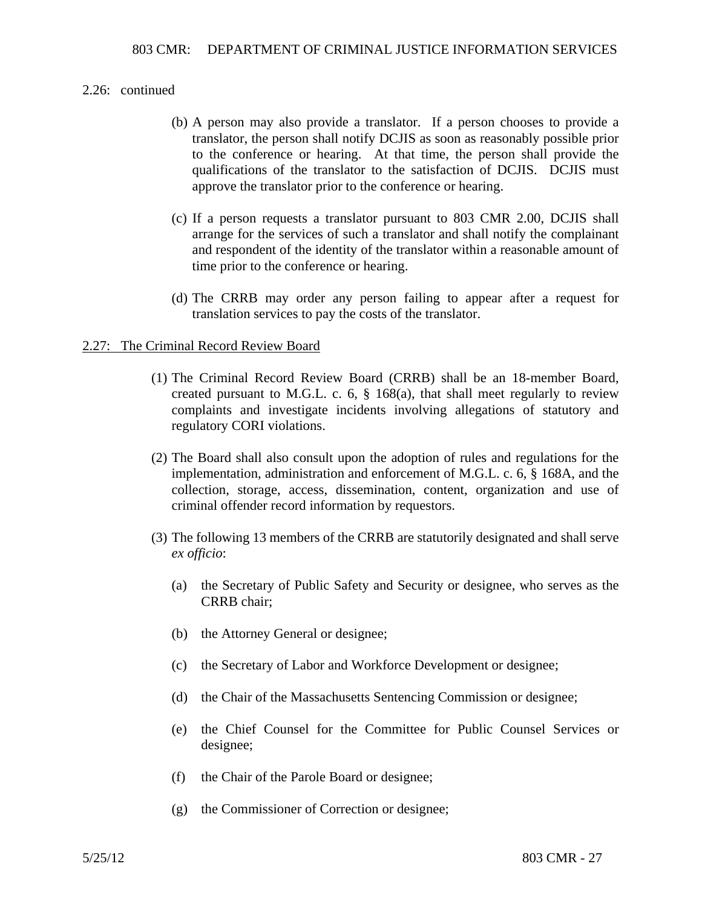### 2.26: continued

- (b) A person may also provide a translator. If a person chooses to provide a translator, the person shall notify DCJIS as soon as reasonably possible prior to the conference or hearing. At that time, the person shall provide the qualifications of the translator to the satisfaction of DCJIS. DCJIS must approve the translator prior to the conference or hearing.
- (c) If a person requests a translator pursuant to 803 CMR 2.00, DCJIS shall arrange for the services of such a translator and shall notify the complainant and respondent of the identity of the translator within a reasonable amount of time prior to the conference or hearing.
- (d) The CRRB may order any person failing to appear after a request for translation services to pay the costs of the translator.

### 2.27: The Criminal Record Review Board

- (1) The Criminal Record Review Board (CRRB) shall be an 18-member Board, created pursuant to M.G.L. c. 6, § 168(a), that shall meet regularly to review complaints and investigate incidents involving allegations of statutory and regulatory CORI violations.
- (2) The Board shall also consult upon the adoption of rules and regulations for the implementation, administration and enforcement of M.G.L. c. 6, § 168A, and the collection, storage, access, dissemination, content, organization and use of criminal offender record information by requestors.
- (3) The following 13 members of the CRRB are statutorily designated and shall serve *ex officio*:
	- (a) the Secretary of Public Safety and Security or designee, who serves as the CRRB chair;
	- (b) the Attorney General or designee;
	- (c) the Secretary of Labor and Workforce Development or designee;
	- (d) the Chair of the Massachusetts Sentencing Commission or designee;
	- (e) the Chief Counsel for the Committee for Public Counsel Services or designee;
	- (f) the Chair of the Parole Board or designee;
	- (g) the Commissioner of Correction or designee;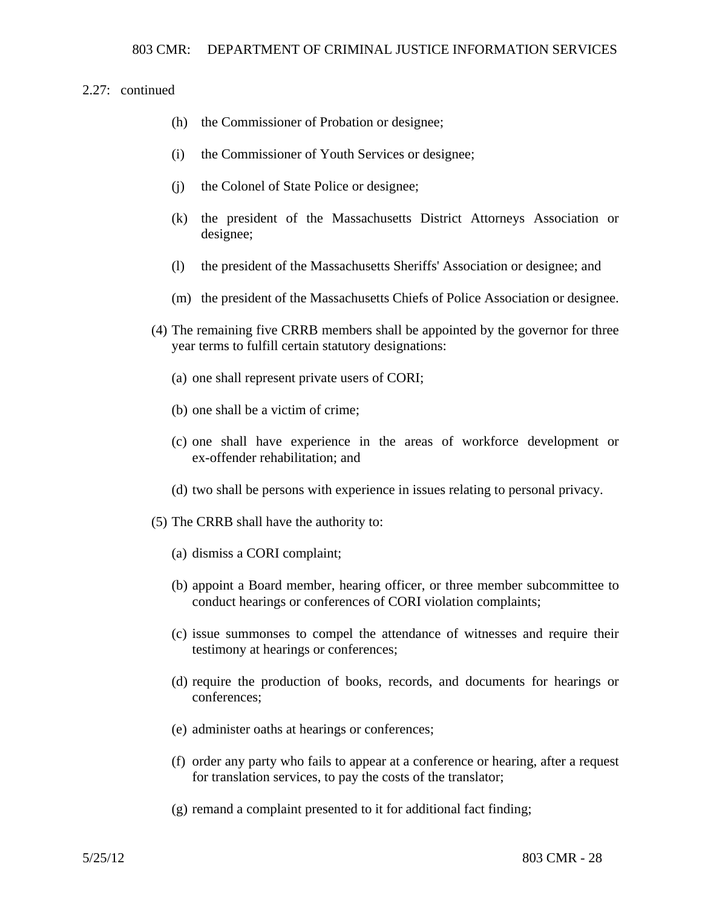### 2.27: continued

- (h) the Commissioner of Probation or designee;
- (i) the Commissioner of Youth Services or designee;
- (j) the Colonel of State Police or designee;
- (k) the president of the Massachusetts District Attorneys Association or designee;
- (l) the president of the Massachusetts Sheriffs' Association or designee; and
- (m) the president of the Massachusetts Chiefs of Police Association or designee.
- (4) The remaining five CRRB members shall be appointed by the governor for three year terms to fulfill certain statutory designations:
	- (a) one shall represent private users of CORI;
	- (b) one shall be a victim of crime;
	- (c) one shall have experience in the areas of workforce development or ex-offender rehabilitation; and
	- (d) two shall be persons with experience in issues relating to personal privacy.
- (5) The CRRB shall have the authority to:
	- (a) dismiss a CORI complaint;
	- (b) appoint a Board member, hearing officer, or three member subcommittee to conduct hearings or conferences of CORI violation complaints;
	- (c) issue summonses to compel the attendance of witnesses and require their testimony at hearings or conferences;
	- (d) require the production of books, records, and documents for hearings or conferences;
	- (e) administer oaths at hearings or conferences;
	- (f) order any party who fails to appear at a conference or hearing, after a request for translation services, to pay the costs of the translator;
	- (g) remand a complaint presented to it for additional fact finding;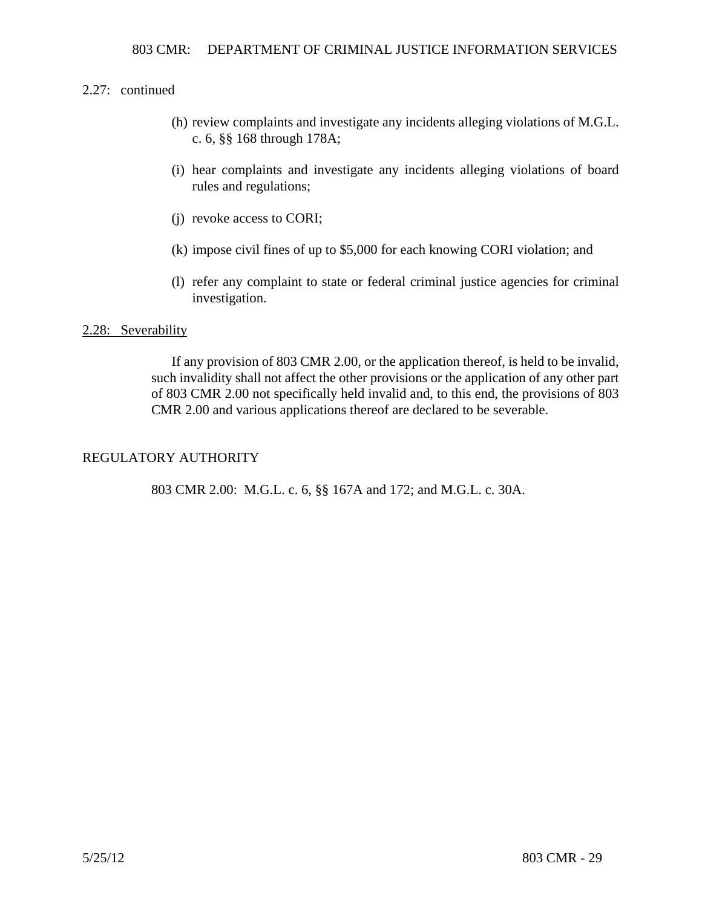### 2.27: continued

- (h) review complaints and investigate any incidents alleging violations of M.G.L. c. 6, §§ 168 through 178A;
- (i) hear complaints and investigate any incidents alleging violations of board rules and regulations;
- (j) revoke access to CORI;
- (k) impose civil fines of up to \$5,000 for each knowing CORI violation; and
- (l) refer any complaint to state or federal criminal justice agencies for criminal investigation.

### 2.28: Severability

If any provision of 803 CMR 2.00, or the application thereof, is held to be invalid, such invalidity shall not affect the other provisions or the application of any other part of 803 CMR 2.00 not specifically held invalid and, to this end, the provisions of 803 CMR 2.00 and various applications thereof are declared to be severable.

### REGULATORY AUTHORITY

803 CMR 2.00: M.G.L. c. 6, §§ 167A and 172; and M.G.L. c. 30A.